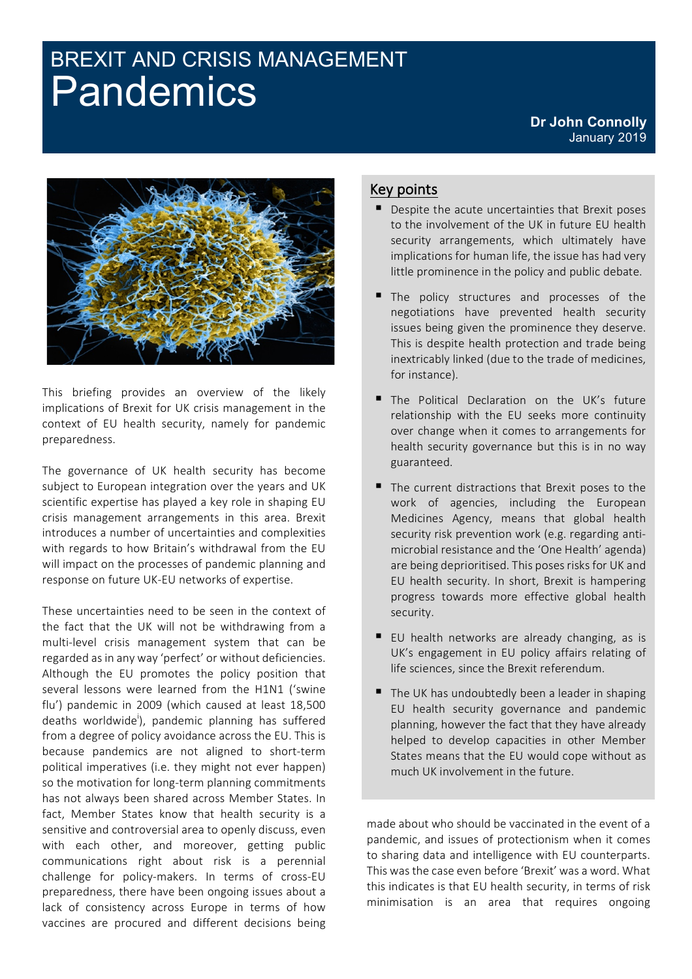# BREXIT AND CRISIS MANAGEMENT **Pandemics**



This briefing provides an overview of the likely implications of Brexit for UK crisis management in the context of EU health security, namely for pandemic preparedness. 

The governance of UK health security has become subject to European integration over the years and UK scientific expertise has played a key role in shaping EU crisis management arrangements in this area. Brexit introduces a number of uncertainties and complexities with regards to how Britain's withdrawal from the EU will impact on the processes of pandemic planning and response on future UK-EU networks of expertise.

These uncertainties need to be seen in the context of the fact that the UK will not be withdrawing from a multi-level crisis management system that can be regarded as in any way 'perfect' or without deficiencies. Although the EU promotes the policy position that several lessons were learned from the H1N1 ('swine flu') pandemic in 2009 (which caused at least 18,500 deaths worldwide<sup>i</sup>), pandemic planning has suffered from a degree of policy avoidance across the EU. This is because pandemics are not aligned to short-term political imperatives (i.e. they might not ever happen) so the motivation for long-term planning commitments has not always been shared across Member States. In fact, Member States know that health security is a sensitive and controversial area to openly discuss, even with each other, and moreover, getting public communications right about risk is a perennial challenge for policy-makers. In terms of cross-EU preparedness, there have been ongoing issues about a lack of consistency across Europe in terms of how vaccines are procured and different decisions being

# Key points

- Despite the acute uncertainties that Brexit poses to the involvement of the UK in future EU health security arrangements, which ultimately have implications for human life, the issue has had very little prominence in the policy and public debate.
- The policy structures and processes of the negotiations have prevented health security issues being given the prominence they deserve. This is despite health protection and trade being inextricably linked (due to the trade of medicines, for instance).
- The Political Declaration on the UK's future relationship with the EU seeks more continuity over change when it comes to arrangements for health security governance but this is in no way guaranteed.
- The current distractions that Brexit poses to the work of agencies, including the European Medicines Agency, means that global health security risk prevention work (e.g. regarding antimicrobial resistance and the 'One Health' agenda) are being deprioritised. This poses risks for UK and EU health security. In short, Brexit is hampering progress towards more effective global health security.
- EU health networks are already changing, as is UK's engagement in EU policy affairs relating of life sciences, since the Brexit referendum.
- $\blacksquare$  The UK has undoubtedly been a leader in shaping EU health security governance and pandemic planning, however the fact that they have already helped to develop capacities in other Member States means that the EU would cope without as much UK involvement in the future.

made about who should be vaccinated in the event of a pandemic, and issues of protectionism when it comes to sharing data and intelligence with EU counterparts. This was the case even before 'Brexit' was a word. What this indicates is that EU health security, in terms of risk minimisation is an area that requires ongoing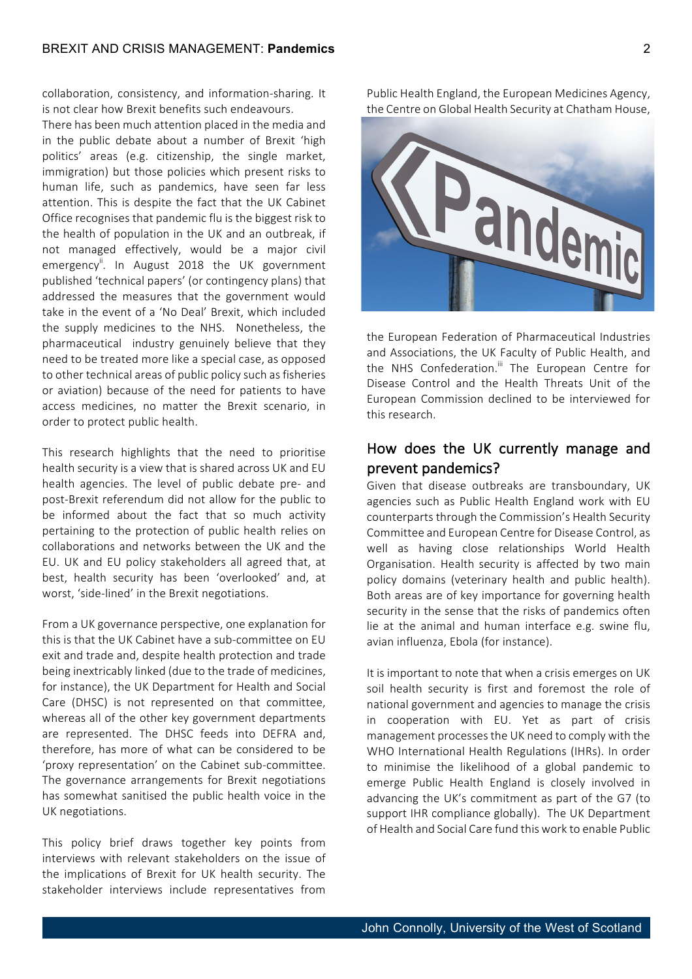collaboration, consistency, and information-sharing. It is not clear how Brexit benefits such endeavours.

There has been much attention placed in the media and in the public debate about a number of Brexit 'high politics' areas (e.g. citizenship, the single market, immigration) but those policies which present risks to human life, such as pandemics, have seen far less attention. This is despite the fact that the UK Cabinet Office recognises that pandemic flu is the biggest risk to the health of population in the UK and an outbreak, if not managed effectively, would be a major civil emergency<sup>ii</sup>. In August 2018 the UK government published 'technical papers' (or contingency plans) that addressed the measures that the government would take in the event of a 'No Deal' Brexit, which included the supply medicines to the NHS. Nonetheless, the pharmaceutical industry genuinely believe that they need to be treated more like a special case, as opposed to other technical areas of public policy such as fisheries or aviation) because of the need for patients to have access medicines, no matter the Brexit scenario, in order to protect public health.

This research highlights that the need to prioritise health security is a view that is shared across UK and EU health agencies. The level of public debate pre- and post-Brexit referendum did not allow for the public to be informed about the fact that so much activity pertaining to the protection of public health relies on collaborations and networks between the UK and the EU. UK and EU policy stakeholders all agreed that, at best, health security has been 'overlooked' and, at worst, 'side-lined' in the Brexit negotiations.

From a UK governance perspective, one explanation for this is that the UK Cabinet have a sub-committee on EU exit and trade and, despite health protection and trade being inextricably linked (due to the trade of medicines, for instance), the UK Department for Health and Social Care (DHSC) is not represented on that committee, whereas all of the other key government departments are represented. The DHSC feeds into DEFRA and, therefore, has more of what can be considered to be 'proxy representation' on the Cabinet sub-committee. The governance arrangements for Brexit negotiations has somewhat sanitised the public health voice in the UK negotiations.

This policy brief draws together key points from interviews with relevant stakeholders on the issue of the implications of Brexit for UK health security. The stakeholder interviews include representatives from Public Health England, the European Medicines Agency, the Centre on Global Health Security at Chatham House,



the European Federation of Pharmaceutical Industries and Associations, the UK Faculty of Public Health, and the NHS Confederation.<sup>iii</sup> The European Centre for Disease Control and the Health Threats Unit of the European Commission declined to be interviewed for this research.

# How does the UK currently manage and prevent pandemics?

Given that disease outbreaks are transboundary, UK agencies such as Public Health England work with EU counterparts through the Commission's Health Security Committee and European Centre for Disease Control, as well as having close relationships World Health Organisation. Health security is affected by two main policy domains (veterinary health and public health). Both areas are of key importance for governing health security in the sense that the risks of pandemics often lie at the animal and human interface e.g. swine flu, avian influenza, Ebola (for instance).

It is important to note that when a crisis emerges on UK soil health security is first and foremost the role of national government and agencies to manage the crisis in cooperation with EU. Yet as part of crisis management processes the UK need to comply with the WHO International Health Regulations (IHRs). In order to minimise the likelihood of a global pandemic to emerge Public Health England is closely involved in advancing the UK's commitment as part of the G7 (to support IHR compliance globally). The UK Department of Health and Social Care fund this work to enable Public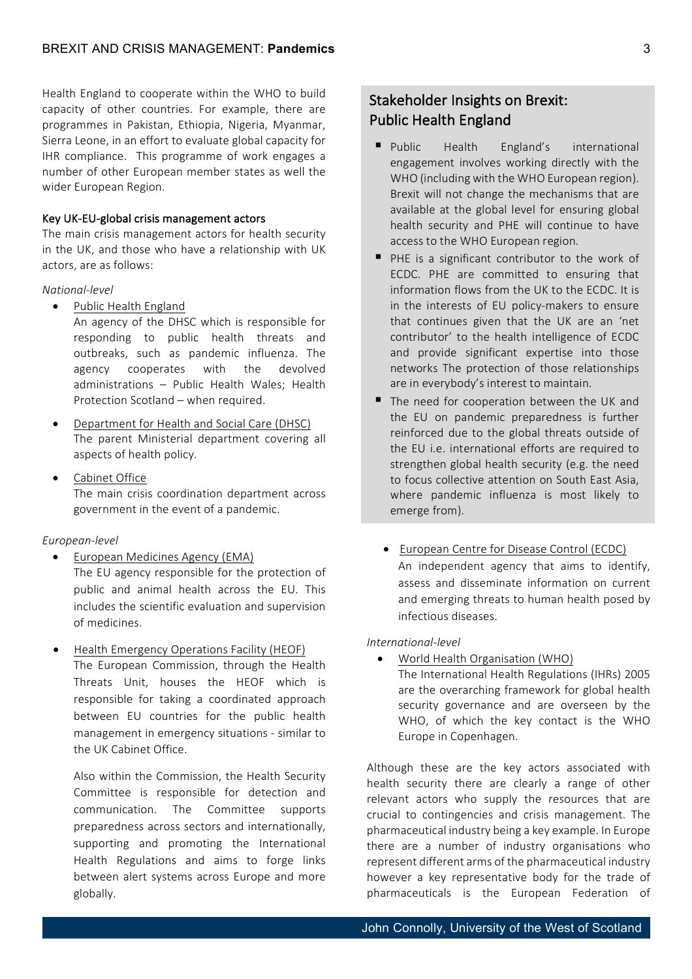Health England to cooperate within the WHO to build capacity of other countries. For example, there are programmes in Pakistan, Ethiopia, Nigeria, Myanmar, Sierra Leone, in an effort to evaluate global capacity for IHR compliance. This programme of work engages a number of other European member states as well the wider European Region.

## Key UK-EU-global crisis management actors

The main crisis management actors for health security in the UK, and those who have a relationship with UK actors, are as follows:

## *National-level*

- Public Health England
	- An agency of the DHSC which is responsible for responding to public health threats and outbreaks, such as pandemic influenza. The agency cooperates with the devolved  $administrations - Public Health Wales; Health$ Protection Scotland – when required.
- Department for Health and Social Care (DHSC) The parent Ministerial department covering all aspects of health policy.
- Cabinet Office The main crisis coordination department across government in the event of a pandemic.

### *European-level*

European Medicines Agency (EMA) The EU agency responsible for the protection of public and animal health across the EU. This includes the scientific evaluation and supervision of medicines.

#### Health Emergency Operations Facility (HEOF)

The European Commission, through the Health Threats Unit, houses the HEOF which is responsible for taking a coordinated approach between EU countries for the public health management in emergency situations - similar to the UK Cabinet Office.

Also within the Commission, the Health Security Committee is responsible for detection and communication. The Committee supports preparedness across sectors and internationally, supporting and promoting the International Health Regulations and aims to forge links between alert systems across Europe and more globally.

# Stakeholder Insights on Brexit: Public Health England

- Public Health England's international engagement involves working directly with the WHO (including with the WHO European region). Brexit will not change the mechanisms that are available at the global level for ensuring global health security and PHE will continue to have access to the WHO European region.
- PHE is a significant contributor to the work of ECDC. PHE are committed to ensuring that information flows from the UK to the ECDC. It is in the interests of EU policy-makers to ensure that continues given that the UK are an 'net contributor' to the health intelligence of ECDC and provide significant expertise into those networks The protection of those relationships are in everybody's interest to maintain.
- The need for cooperation between the UK and the EU on pandemic preparedness is further reinforced due to the global threats outside of the EU i.e. international efforts are required to strengthen global health security (e.g. the need to focus collective attention on South East Asia, where pandemic influenza is most likely to emerge from).
	- European Centre for Disease Control (ECDC) An independent agency that aims to identify, assess and disseminate information on current and emerging threats to human health posed by infectious diseases.

## *International-level*

World Health Organisation (WHO) The International Health Regulations (IHRs) 2005 are the overarching framework for global health security governance and are overseen by the WHO, of which the key contact is the WHO Europe in Copenhagen.

Although these are the key actors associated with health security there are clearly a range of other relevant actors who supply the resources that are crucial to contingencies and crisis management. The pharmaceutical industry being a key example. In Europe there are a number of industry organisations who represent different arms of the pharmaceutical industry however a key representative body for the trade of pharmaceuticals is the European Federation of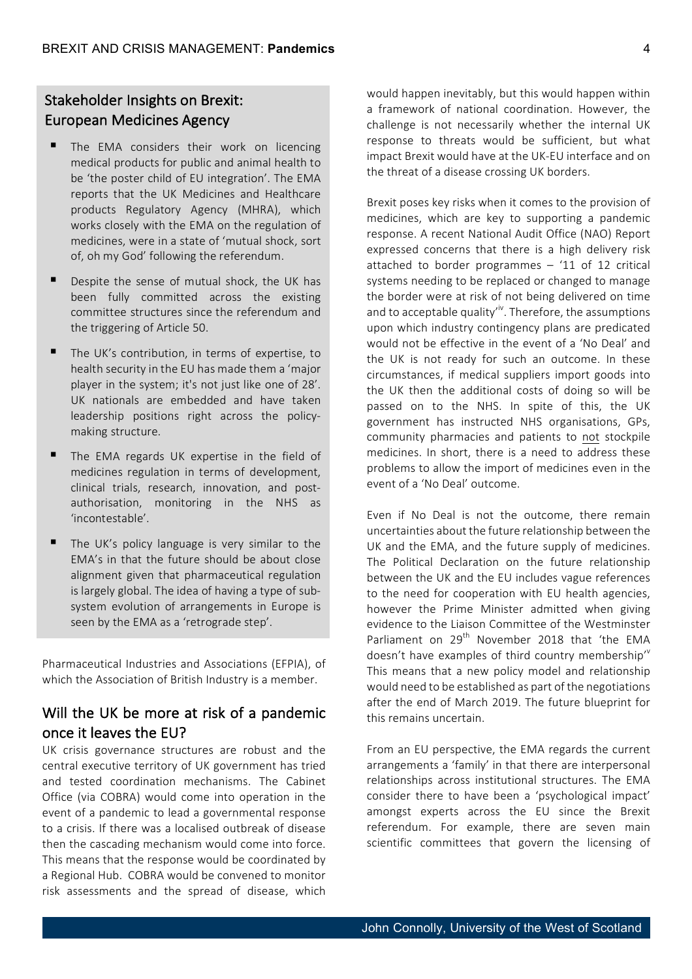# Stakeholder Insights on Brexit: European Medicines Agency

- The EMA considers their work on licencing medical products for public and animal health to be 'the poster child of EU integration'. The EMA reports that the UK Medicines and Healthcare products Regulatory Agency (MHRA), which works closely with the EMA on the regulation of medicines, were in a state of 'mutual shock, sort of, oh my God' following the referendum.
- Despite the sense of mutual shock, the UK has been fully committed across the existing committee structures since the referendum and the triggering of Article 50.
- The UK's contribution, in terms of expertise, to health security in the EU has made them a 'major player in the system; it's not just like one of 28'. UK nationals are embedded and have taken leadership positions right across the policymaking structure.
- The EMA regards UK expertise in the field of medicines regulation in terms of development, clinical trials, research, innovation, and postauthorisation, monitoring in the NHS as 'incontestable'.
- $\blacksquare$  The UK's policy language is very similar to the EMA's in that the future should be about close alignment given that pharmaceutical regulation is largely global. The idea of having a type of subsystem evolution of arrangements in Europe is seen by the EMA as a 'retrograde step'.

Pharmaceutical Industries and Associations (EFPIA), of which the Association of British Industry is a member.

## Will the UK be more at risk of a pandemic once it leaves the EU?

UK crisis governance structures are robust and the central executive territory of UK government has tried and tested coordination mechanisms. The Cabinet Office (via COBRA) would come into operation in the event of a pandemic to lead a governmental response to a crisis. If there was a localised outbreak of disease then the cascading mechanism would come into force. This means that the response would be coordinated by a Regional Hub. COBRA would be convened to monitor risk assessments and the spread of disease, which

would happen inevitably, but this would happen within a framework of national coordination. However, the challenge is not necessarily whether the internal UK response to threats would be sufficient, but what impact Brexit would have at the UK-EU interface and on the threat of a disease crossing UK borders.

Brexit poses key risks when it comes to the provision of medicines, which are key to supporting a pandemic response. A recent National Audit Office (NAO) Report expressed concerns that there is a high delivery risk attached to border programmes  $-$  '11 of 12 critical systems needing to be replaced or changed to manage the border were at risk of not being delivered on time and to acceptable quality'<sup>iv</sup>. Therefore, the assumptions upon which industry contingency plans are predicated would not be effective in the event of a 'No Deal' and the UK is not ready for such an outcome. In these circumstances, if medical suppliers import goods into the UK then the additional costs of doing so will be passed on to the NHS. In spite of this, the UK government has instructed NHS organisations, GPs, community pharmacies and patients to not stockpile medicines. In short, there is a need to address these problems to allow the import of medicines even in the event of a 'No Deal' outcome.

Even if No Deal is not the outcome, there remain uncertainties about the future relationship between the UK and the EMA, and the future supply of medicines. The Political Declaration on the future relationship between the UK and the EU includes vague references to the need for cooperation with EU health agencies, however the Prime Minister admitted when giving evidence to the Liaison Committee of the Westminster Parliament on 29<sup>th</sup> November 2018 that 'the EMA doesn't have examples of third country membership'<sup>v</sup> This means that a new policy model and relationship would need to be established as part of the negotiations after the end of March 2019. The future blueprint for this remains uncertain.

From an EU perspective, the EMA regards the current arrangements a 'family' in that there are interpersonal relationships across institutional structures. The EMA consider there to have been a 'psychological impact' amongst experts across the EU since the Brexit referendum. For example, there are seven main scientific committees that govern the licensing of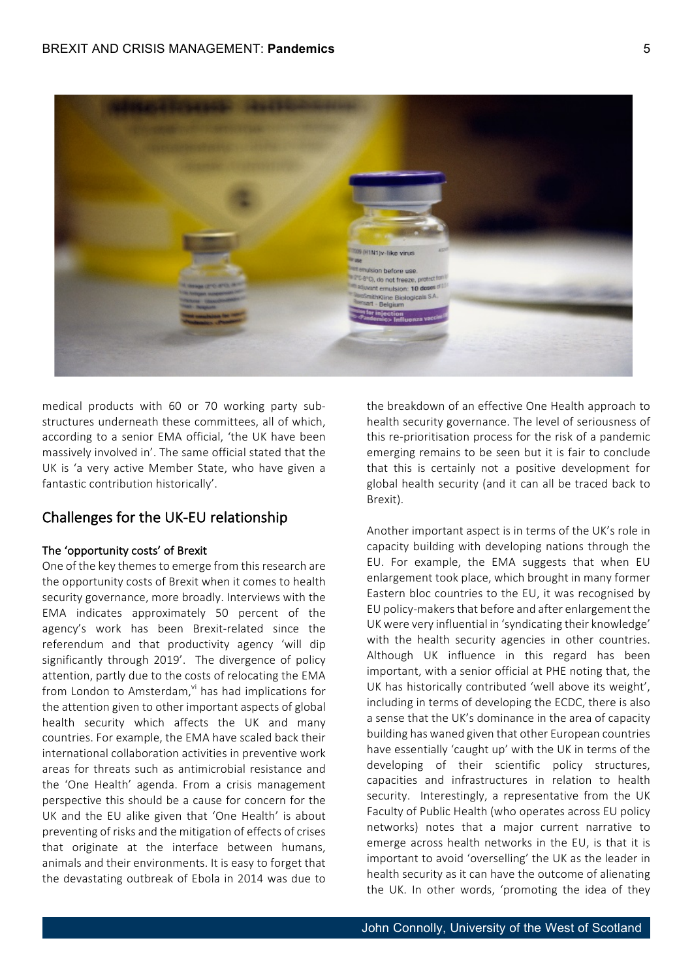

medical products with 60 or 70 working party substructures underneath these committees, all of which, according to a senior EMA official, 'the UK have been massively involved in'. The same official stated that the UK is 'a very active Member State, who have given a fantastic contribution historically'.

## Challenges for the UK-EU relationship

## The 'opportunity costs' of Brexit

One of the key themes to emerge from this research are the opportunity costs of Brexit when it comes to health security governance, more broadly. Interviews with the EMA indicates approximately 50 percent of the agency's work has been Brexit-related since the referendum and that productivity agency 'will dip significantly through 2019'. The divergence of policy attention, partly due to the costs of relocating the EMA from London to Amsterdam, $\mathrm{v}^{\mathrm{i}}$  has had implications for the attention given to other important aspects of global health security which affects the UK and many countries. For example, the EMA have scaled back their international collaboration activities in preventive work areas for threats such as antimicrobial resistance and the 'One Health' agenda. From a crisis management perspective this should be a cause for concern for the UK and the EU alike given that 'One Health' is about preventing of risks and the mitigation of effects of crises that originate at the interface between humans, animals and their environments. It is easy to forget that the devastating outbreak of Ebola in 2014 was due to

the breakdown of an effective One Health approach to health security governance. The level of seriousness of this re-prioritisation process for the risk of a pandemic emerging remains to be seen but it is fair to conclude that this is certainly not a positive development for global health security (and it can all be traced back to Brexit).

Another important aspect is in terms of the UK's role in capacity building with developing nations through the EU. For example, the EMA suggests that when EU enlargement took place, which brought in many former Eastern bloc countries to the EU, it was recognised by EU policy-makers that before and after enlargement the UK were very influential in 'syndicating their knowledge' with the health security agencies in other countries. Although UK influence in this regard has been important, with a senior official at PHE noting that, the UK has historically contributed 'well above its weight', including in terms of developing the ECDC, there is also a sense that the UK's dominance in the area of capacity building has waned given that other European countries have essentially 'caught up' with the UK in terms of the developing of their scientific policy structures, capacities and infrastructures in relation to health security. Interestingly, a representative from the UK Faculty of Public Health (who operates across EU policy networks) notes that a major current narrative to emerge across health networks in the EU, is that it is important to avoid 'overselling' the UK as the leader in health security as it can have the outcome of alienating the UK. In other words, 'promoting the idea of they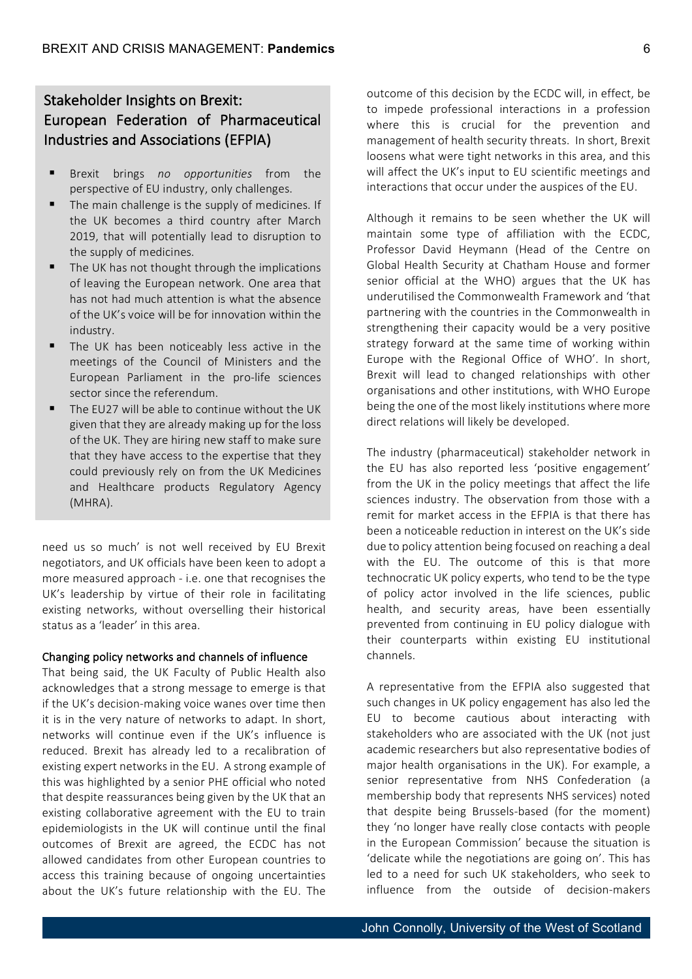# Stakeholder Insights on Brexit: European Federation of Pharmaceutical Industries and Associations (EFPIA)

- § Brexit brings *no opportunities* from the perspective of EU industry, only challenges.
- $\blacksquare$  The main challenge is the supply of medicines. If the UK becomes a third country after March 2019, that will potentially lead to disruption to the supply of medicines.
- The UK has not thought through the implications of leaving the European network. One area that has not had much attention is what the absence of the UK's voice will be for innovation within the industry.
- The UK has been noticeably less active in the meetings of the Council of Ministers and the European Parliament in the pro-life sciences sector since the referendum.
- The EU27 will be able to continue without the UK given that they are already making up for the loss of the UK. They are hiring new staff to make sure that they have access to the expertise that they could previously rely on from the UK Medicines and Healthcare products Regulatory Agency (MHRA).

need us so much' is not well received by EU Brexit negotiators, and UK officials have been keen to adopt a more measured approach - i.e. one that recognises the UK's leadership by virtue of their role in facilitating existing networks, without overselling their historical status as a 'leader' in this area.

## Changing policy networks and channels of influence

That being said, the UK Faculty of Public Health also acknowledges that a strong message to emerge is that if the UK's decision-making voice wanes over time then it is in the very nature of networks to adapt. In short, networks will continue even if the UK's influence is reduced. Brexit has already led to a recalibration of existing expert networks in the EU. A strong example of this was highlighted by a senior PHE official who noted that despite reassurances being given by the UK that an existing collaborative agreement with the EU to train epidemiologists in the UK will continue until the final outcomes of Brexit are agreed, the ECDC has not allowed candidates from other European countries to access this training because of ongoing uncertainties about the UK's future relationship with the EU. The

outcome of this decision by the ECDC will, in effect, be to impede professional interactions in a profession where this is crucial for the prevention and management of health security threats. In short, Brexit loosens what were tight networks in this area, and this will affect the UK's input to EU scientific meetings and interactions that occur under the auspices of the EU.

Although it remains to be seen whether the UK will maintain some type of affiliation with the ECDC, Professor David Heymann (Head of the Centre on Global Health Security at Chatham House and former senior official at the WHO) argues that the UK has underutilised the Commonwealth Framework and 'that partnering with the countries in the Commonwealth in strengthening their capacity would be a very positive strategy forward at the same time of working within Europe with the Regional Office of WHO'. In short, Brexit will lead to changed relationships with other organisations and other institutions, with WHO Europe being the one of the most likely institutions where more direct relations will likely be developed.

The industry (pharmaceutical) stakeholder network in the EU has also reported less 'positive engagement' from the UK in the policy meetings that affect the life sciences industry. The observation from those with a remit for market access in the EFPIA is that there has been a noticeable reduction in interest on the UK's side due to policy attention being focused on reaching a deal with the EU. The outcome of this is that more technocratic UK policy experts, who tend to be the type of policy actor involved in the life sciences, public health, and security areas, have been essentially prevented from continuing in EU policy dialogue with their counterparts within existing EU institutional channels.

A representative from the EFPIA also suggested that such changes in UK policy engagement has also led the EU to become cautious about interacting with stakeholders who are associated with the UK (not just academic researchers but also representative bodies of major health organisations in the UK). For example, a senior representative from NHS Confederation (a membership body that represents NHS services) noted that despite being Brussels-based (for the moment) they 'no longer have really close contacts with people in the European Commission' because the situation is 'delicate while the negotiations are going on'. This has led to a need for such UK stakeholders, who seek to influence from the outside of decision-makers